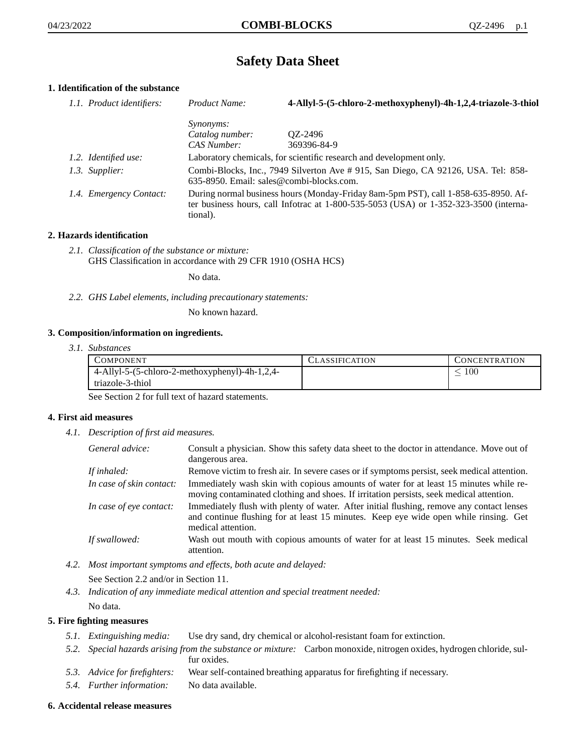# **Safety Data Sheet**

# **1. Identification of the substance**

| 1.1. Product identifiers: | Product Name:                                                                                                                                                                           | 4-Allyl-5-(5-chloro-2-methoxyphenyl)-4h-1,2,4-triazole-3-thiol                                                                |
|---------------------------|-----------------------------------------------------------------------------------------------------------------------------------------------------------------------------------------|-------------------------------------------------------------------------------------------------------------------------------|
|                           | <i>Synonyms:</i><br>Catalog number:                                                                                                                                                     | OZ-2496                                                                                                                       |
|                           | CAS Number:                                                                                                                                                                             | 369396-84-9                                                                                                                   |
| 1.2. Identified use:      |                                                                                                                                                                                         | Laboratory chemicals, for scientific research and development only.                                                           |
| 1.3. Supplier:            |                                                                                                                                                                                         | Combi-Blocks, Inc., 7949 Silverton Ave # 915, San Diego, CA 92126, USA. Tel: 858-<br>635-8950. Email: sales@combi-blocks.com. |
| 1.4. Emergency Contact:   | During normal business hours (Monday-Friday 8am-5pm PST), call 1-858-635-8950. Af-<br>ter business hours, call Infotrac at 1-800-535-5053 (USA) or 1-352-323-3500 (interna-<br>tional). |                                                                                                                               |

## **2. Hazards identification**

*2.1. Classification of the substance or mixture:* GHS Classification in accordance with 29 CFR 1910 (OSHA HCS)

No data.

*2.2. GHS Label elements, including precautionary statements:*

No known hazard.

#### **3. Composition/information on ingredients.**

*3.1. Substances*

| COMPONENT                                         | <b>CLASSIFICATION</b> | CONCENTRATION |
|---------------------------------------------------|-----------------------|---------------|
| $4$ -Allyl-5-(5-chloro-2-methoxyphenyl)-4h-1,2,4- |                       | 100           |
| triazole-3-thiol                                  |                       |               |

See Section 2 for full text of hazard statements.

#### **4. First aid measures**

*4.1. Description of first aid measures.*

| General advice:          | Consult a physician. Show this safety data sheet to the doctor in attendance. Move out of<br>dangerous area.                                                                                            |
|--------------------------|---------------------------------------------------------------------------------------------------------------------------------------------------------------------------------------------------------|
| If inhaled:              | Remove victim to fresh air. In severe cases or if symptoms persist, seek medical attention.                                                                                                             |
| In case of skin contact: | Immediately wash skin with copious amounts of water for at least 15 minutes while re-<br>moving contaminated clothing and shoes. If irritation persists, seek medical attention.                        |
| In case of eye contact:  | Immediately flush with plenty of water. After initial flushing, remove any contact lenses<br>and continue flushing for at least 15 minutes. Keep eye wide open while rinsing. Get<br>medical attention. |
| If swallowed:            | Wash out mouth with copious amounts of water for at least 15 minutes. Seek medical<br>attention.                                                                                                        |

*4.2. Most important symptoms and effects, both acute and delayed:*

See Section 2.2 and/or in Section 11.

*4.3. Indication of any immediate medical attention and special treatment needed:* No data.

# **5. Fire fighting measures**

- *5.1. Extinguishing media:* Use dry sand, dry chemical or alcohol-resistant foam for extinction.
- *5.2. Special hazards arising from the substance or mixture:* Carbon monoxide, nitrogen oxides, hydrogen chloride, sulfur oxides.
- *5.3. Advice for firefighters:* Wear self-contained breathing apparatus for firefighting if necessary.
- *5.4. Further information:* No data available.

#### **6. Accidental release measures**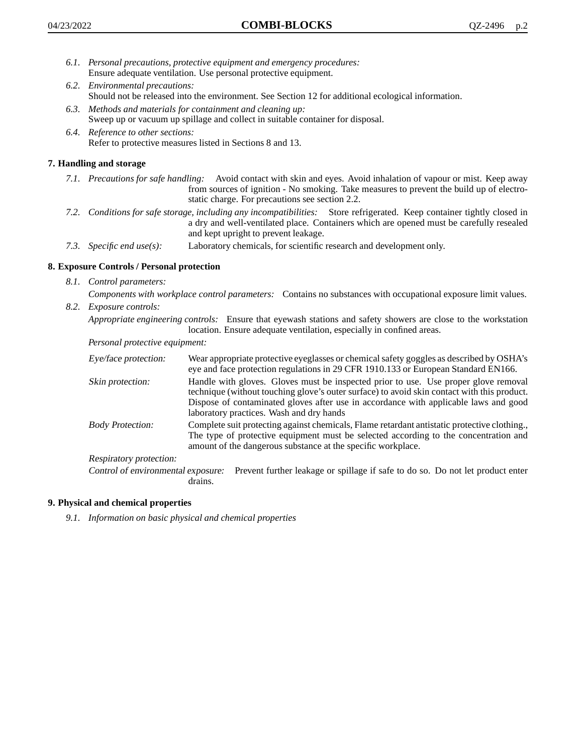- *6.1. Personal precautions, protective equipment and emergency procedures:* Ensure adequate ventilation. Use personal protective equipment.
- *6.2. Environmental precautions:* Should not be released into the environment. See Section 12 for additional ecological information.
- *6.3. Methods and materials for containment and cleaning up:* Sweep up or vacuum up spillage and collect in suitable container for disposal.
- *6.4. Reference to other sections:* Refer to protective measures listed in Sections 8 and 13.

# **7. Handling and storage**

- *7.1. Precautions for safe handling:* Avoid contact with skin and eyes. Avoid inhalation of vapour or mist. Keep away from sources of ignition - No smoking. Take measures to prevent the build up of electrostatic charge. For precautions see section 2.2.
- *7.2. Conditions for safe storage, including any incompatibilities:* Store refrigerated. Keep container tightly closed in a dry and well-ventilated place. Containers which are opened must be carefully resealed and kept upright to prevent leakage.
- *7.3. Specific end use(s):* Laboratory chemicals, for scientific research and development only.

# **8. Exposure Controls / Personal protection**

- *8.1. Control parameters:*
	- *Components with workplace control parameters:* Contains no substances with occupational exposure limit values.
- *8.2. Exposure controls:*

*Appropriate engineering controls:* Ensure that eyewash stations and safety showers are close to the workstation location. Ensure adequate ventilation, especially in confined areas.

*Personal protective equipment:*

| Eye/face protection:               | Wear appropriate protective eyeglasses or chemical safety goggles as described by OSHA's<br>eye and face protection regulations in 29 CFR 1910.133 or European Standard EN166.                                                                                                                                         |  |
|------------------------------------|------------------------------------------------------------------------------------------------------------------------------------------------------------------------------------------------------------------------------------------------------------------------------------------------------------------------|--|
| Skin protection:                   | Handle with gloves. Gloves must be inspected prior to use. Use proper glove removal<br>technique (without touching glove's outer surface) to avoid skin contact with this product.<br>Dispose of contaminated gloves after use in accordance with applicable laws and good<br>laboratory practices. Wash and dry hands |  |
| <b>Body Protection:</b>            | Complete suit protecting against chemicals, Flame retardant antistatic protective clothing.,<br>The type of protective equipment must be selected according to the concentration and<br>amount of the dangerous substance at the specific workplace.                                                                   |  |
| Respiratory protection:            |                                                                                                                                                                                                                                                                                                                        |  |
| Control of environmental exposure: | Prevent further leakage or spillage if safe to do so. Do not let product enter<br>drains.                                                                                                                                                                                                                              |  |

# **9. Physical and chemical properties**

*9.1. Information on basic physical and chemical properties*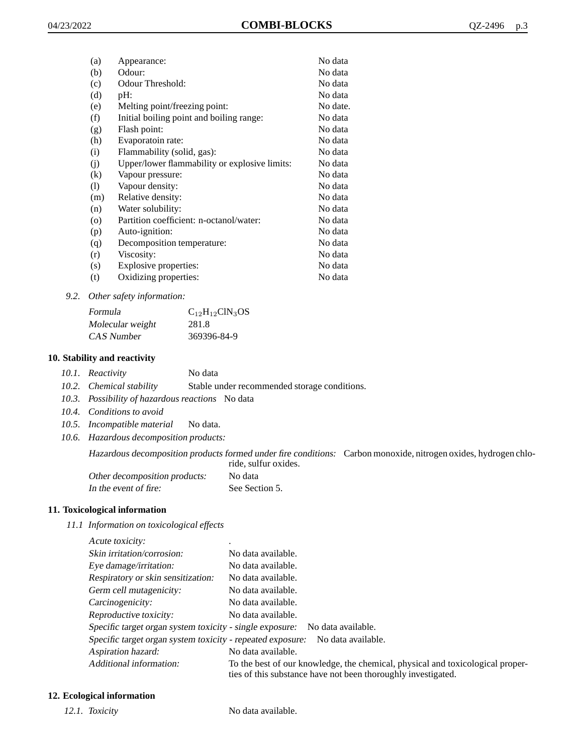| (a)                | Appearance:                                   | No data  |
|--------------------|-----------------------------------------------|----------|
| (b)                | Odour:                                        | No data  |
| (c)                | Odour Threshold:                              | No data  |
| (d)                | pH:                                           | No data  |
| (e)                | Melting point/freezing point:                 | No date. |
| (f)                | Initial boiling point and boiling range:      | No data  |
| (g)                | Flash point:                                  | No data  |
| (h)                | Evaporatoin rate:                             | No data  |
| (i)                | Flammability (solid, gas):                    | No data  |
| (j)                | Upper/lower flammability or explosive limits: | No data  |
| $\left( k\right)$  | Vapour pressure:                              | No data  |
| (1)                | Vapour density:                               | No data  |
| (m)                | Relative density:                             | No data  |
| (n)                | Water solubility:                             | No data  |
| $\left( 0 \right)$ | Partition coefficient: n-octanol/water:       | No data  |
| (p)                | Auto-ignition:                                | No data  |
| (q)                | Decomposition temperature:                    | No data  |
| (r)                | Viscosity:                                    | No data  |
| (s)                | Explosive properties:                         | No data  |
| (t)                | Oxidizing properties:                         | No data  |
|                    |                                               |          |

*9.2. Other safety information:*

| Formula          | $C_{12}H_{12}CIN_3OS$ |
|------------------|-----------------------|
| Molecular weight | 281.8                 |
| CAS Number       | 369396-84-9           |

## **10. Stability and reactivity**

|  | 10.1. Reactivity | No data |
|--|------------------|---------|
|--|------------------|---------|

- *10.2. Chemical stability* Stable under recommended storage conditions.
- *10.3. Possibility of hazardous reactions* No data
- *10.4. Conditions to avoid*
- *10.5. Incompatible material* No data.
- *10.6. Hazardous decomposition products:*

Hazardous decomposition products formed under fire conditions: Carbon monoxide, nitrogen oxides, hydrogen chloride, sulfur oxides.

| Other decomposition products: | No data        |
|-------------------------------|----------------|
| In the event of fire:         | See Section 5. |

#### **11. Toxicological information**

*11.1 Information on toxicological effects*

| Acute toxicity: |  |
|-----------------|--|
|                 |  |

| Skin irritation/corrosion:                                 | No data available.                                                                                                                              |
|------------------------------------------------------------|-------------------------------------------------------------------------------------------------------------------------------------------------|
| Eye damage/irritation:                                     | No data available.                                                                                                                              |
| Respiratory or skin sensitization:                         | No data available.                                                                                                                              |
| Germ cell mutagenicity:                                    | No data available.                                                                                                                              |
| Carcinogenicity:                                           | No data available.                                                                                                                              |
| Reproductive toxicity:                                     | No data available.                                                                                                                              |
| Specific target organ system toxicity - single exposure:   | No data available.                                                                                                                              |
| Specific target organ system toxicity - repeated exposure: | No data available.                                                                                                                              |
| Aspiration hazard:                                         | No data available.                                                                                                                              |
| Additional information:                                    | To the best of our knowledge, the chemical, physical and toxicological proper-<br>ties of this substance have not been thoroughly investigated. |

## **12. Ecological information**

*12.1. Toxicity* No data available.